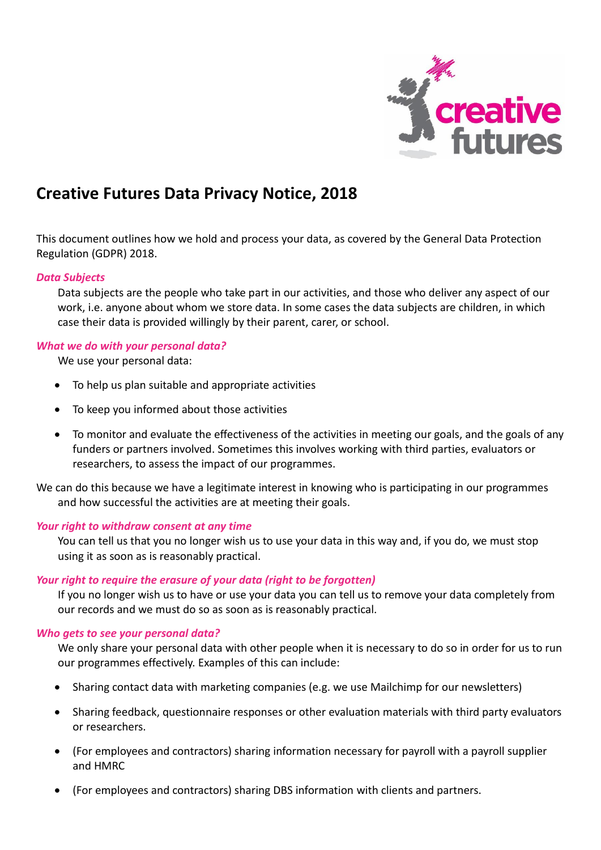

# **Creative Futures Data Privacy Notice, 2018**

This document outlines how we hold and process your data, as covered by the General Data Protection Regulation (GDPR) 2018.

#### *Data Subjects*

Data subjects are the people who take part in our activities, and those who deliver any aspect of our work, i.e. anyone about whom we store data. In some cases the data subjects are children, in which case their data is provided willingly by their parent, carer, or school.

#### *What we do with your personal data?*

We use your personal data:

- To help us plan suitable and appropriate activities
- To keep you informed about those activities
- To monitor and evaluate the effectiveness of the activities in meeting our goals, and the goals of any funders or partners involved. Sometimes this involves working with third parties, evaluators or researchers, to assess the impact of our programmes.

We can do this because we have a legitimate interest in knowing who is participating in our programmes and how successful the activities are at meeting their goals.

#### *Your right to withdraw consent at any time*

You can tell us that you no longer wish us to use your data in this way and, if you do, we must stop using it as soon as is reasonably practical.

## *Your right to require the erasure of your data (right to be forgotten)*

If you no longer wish us to have or use your data you can tell us to remove your data completely from our records and we must do so as soon as is reasonably practical.

#### *Who gets to see your personal data?*

We only share your personal data with other people when it is necessary to do so in order for us to run our programmes effectively. Examples of this can include:

- Sharing contact data with marketing companies (e.g. we use Mailchimp for our newsletters)
- Sharing feedback, questionnaire responses or other evaluation materials with third party evaluators or researchers.
- (For employees and contractors) sharing information necessary for payroll with a payroll supplier and HMRC
- (For employees and contractors) sharing DBS information with clients and partners.